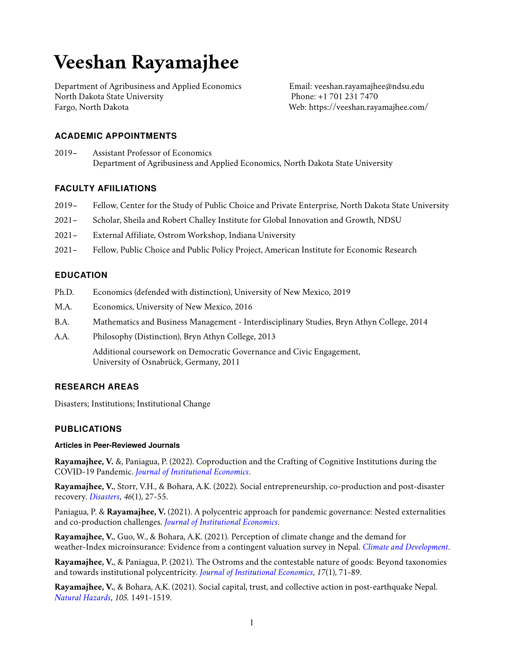# **Veeshan Rayamajhee**

Department of Agribusiness and Applied Economics North Dakota State University Fargo, North Dakota

Email: veeshan.rayamajhee@ndsu.edu Phone: +1 701 231 7470 Web: <https://veeshan.rayamajhee.com/>

# **ACADEMIC APPOINTMENTS**

2019– Assistant Professor of Economics Department of Agribusiness and Applied Economics, North Dakota State University

# **FACULTY AFIILIATIONS**

- 2019– Fellow, Center for the Study of Public Choice and Private Enterprise, North Dakota State University
- 2021– Scholar, Sheila and Robert Challey Institute for Global Innovation and Growth, NDSU
- 2021– External Affiliate, Ostrom Workshop, Indiana University
- 2021– Fellow, Public Choice and Public Policy Project, American Institute for Economic Research

# **EDUCATION**

- Ph.D. Economics (defended with distinction), University of New Mexico, 2019
- M.A. Economics, University of New Mexico, 2016
- B.A. Mathematics and Business Management Interdisciplinary Studies, Bryn Athyn College, 2014
- A.A. Philosophy (Distinction), Bryn Athyn College, 2013

Additional coursework on Democratic Governance and Civic Engagement, University of Osnabrück, Germany, 2011

## **RESEARCH AREAS**

Disasters; Institutions; Institutional Change

## **PUBLICATIONS**

## **Articles in Peer-Reviewed Journals**

**Rayamajhee, V.** &, Paniagua, P. (2022). Coproduction and the Crafting of Cognitive Institutions during the COVID-19 Pandemic. *[Journal of Institutional Economics](https://doi.org/10.1017/S1744137422000078)*.

**Rayamajhee, V.**, Storr, V.H., & Bohara, A.K. (2022). Social entrepreneurship, co-production and post-disaster recovery. *[Disasters](https://doi.org/10.1111/disa.12454)*, *46*(1), 27-55.

Paniagua, P. & **Rayamajhee, V.** (2021). A polycentric approach for pandemic governance: Nested externalities and co-production challenges. *[Journal of Institutional Economics](https://doi.org/10.1017/S1744137421000795)*.

**Rayamajhee, V.**, Guo, W., & Bohara, A.K. (2021). Perception of climate change and the demand for weather-Index microinsurance: Evidence from a contingent valuation survey in Nepal. *[Climate and Development](https://doi.org/10.1080/17565529.2021.1949574)*.

**Rayamajhee, V.**, & Paniagua, P. (2021). The Ostroms and the contestable nature of goods: Beyond taxonomies and towards institutional polycentricity. *[Journal of Institutional Economics](https://doi.org/10.1017/S1744137420000338)*, *17*(1), 71-89.

**Rayamajhee, V.**, & Bohara, A.K. (2021). Social capital, trust, and collective action in post-earthquake Nepal. *[Natural Hazards](https://doi.org/10.1007/s11069-020-04363-4)*, *105*. 1491-1519.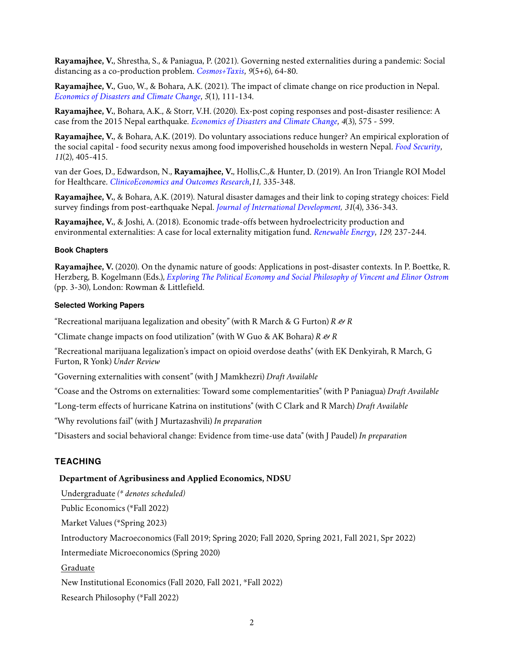**Rayamajhee, V.**, Shrestha, S., & Paniagua, P. (2021). Governing nested externalities during a pandemic: Social distancing as a co-production problem. *[Cosmos+Taxis](https://cosmosandtaxis.files.wordpress.com/2021/05/rayamajhee_et_al_ct_vol9_iss_5_6.pdf)*, *9*(5+6), 64-80.

**Rayamajhee, V.**, Guo, W., & Bohara, A.K. (2021). The impact of climate change on rice production in Nepal. *[Economics of Disasters and Climate Change](https://doi.org/10.1007/s41885-020-00079-8)*, *5*(1), 111-134.

**Rayamajhee, V.**, Bohara, A.K., & Storr, V.H. (2020). Ex-post coping responses and post-disaster resilience: A case from the 2015 Nepal earthquake. *[Economics of Disasters and Climate Change](https://doi.org/10.1007/s41885-020-00064-1)*, *4*(3), 575 - 599.

**Rayamajhee, V.**, & Bohara, A.K. (2019). Do voluntary associations reduce hunger? An empirical exploration of the social capital - food security nexus among food impoverished households in western Nepal. *[Food Security](https://doi.org/10.1007/s12571-019-00907-0)*, *11*(2), 405-415.

van der Goes, D., Edwardson, N., **Rayamajhee, V.**, Hollis,C.,& Hunter, D. (2019). An Iron Triangle ROI Model for Healthcare. *[ClinicoEconomics and Outcomes Research](https://doi.org/10.2147/CEOR.S130623)*,*11,* 335-348.

**Rayamajhee, V.**, & Bohara, A.K. (2019). Natural disaster damages and their link to coping strategy choices: Field survey findings from post-earthquake Nepal. *[Journal of International Development,](https://doi.org/10.1002/jid.3406) 31*(4), 336-343.

**Rayamajhee, V.**, & Joshi, A. (2018). Economic trade-offs between hydroelectricity production and environmental externalities: A case for local externality mitigation fund. *[Renewable Energy](https://doi.org/10.1016/j.renene.2018.06.009)*, *129,* 237-244.

## **Book Chapters**

**Rayamajhee, V.** (2020). On the dynamic nature of goods: Applications in post-disaster contexts. In P. Boettke, R. Herzberg, B. Kogelmann (Eds.), *[Exploring The Political Economy and Social Philosophy of Vincent and Elinor Ostrom](https://www.researchgate.net/publication/345889991_On_the_Dynamic_Nature_of_Goods_Applications_in_Post-disaster_Contexts)* (pp. 3-30), London: Rowman & Littlefield.

## **Selected Working Papers**

"Recreational marijuana legalization and obesity" (with R March & G Furton) *R & R*

"Climate change impacts on food utilization" (with W Guo & AK Bohara) *R & R*

"Recreational marijuana legalization's impact on opioid overdose deaths" (with EK Denkyirah, R March, G Furton, R Yonk) *Under Review*

"Governing externalities with consent" (with J Mamkhezri) *Draft Available*

"Coase and the Ostroms on externalities: Toward some complementarities" (with P Paniagua) *Draft Available*

"Long-term effects of hurricane Katrina on institutions" (with C Clark and R March) *Draft Available*

"Why revolutions fail" (with J Murtazashvili) *In preparation*

"Disasters and social behavioral change: Evidence from time-use data" (with J Paudel) *In preparation*

## **TEACHING**

#### **Department of Agribusiness and Applied Economics, NDSU**

Undergraduate *(\* denotes scheduled)*

Public Economics (\*Fall 2022)

Market Values (\*Spring 2023)

Introductory Macroeconomics (Fall 2019; Spring 2020; Fall 2020, Spring 2021, Fall 2021, Spr 2022)

Intermediate Microeconomics (Spring 2020)

Graduate

New Institutional Economics (Fall 2020, Fall 2021, \*Fall 2022)

Research Philosophy (\*Fall 2022)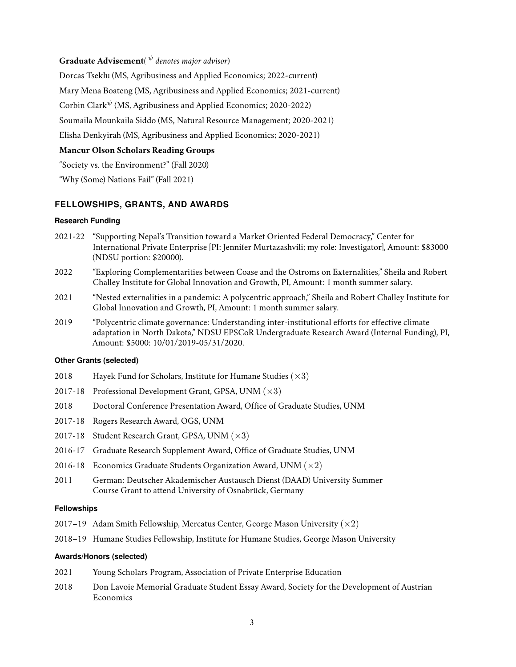# **Graduate Advisement***(* <sup>ψ</sup> *denotes major advisor*)

Dorcas Tseklu (MS, Agribusiness and Applied Economics; 2022-current) Mary Mena Boateng (MS, Agribusiness and Applied Economics; 2021-current) Corbin Clark<sup> $\psi$ </sup> (MS, Agribusiness and Applied Economics; 2020-2022) Soumaila Mounkaila Siddo (MS, Natural Resource Management; 2020-2021) Elisha Denkyirah (MS, Agribusiness and Applied Economics; 2020-2021) **Mancur Olson Scholars Reading Groups** "Society vs. the Environment?" (Fall 2020)

"Why (Some) Nations Fail" (Fall 2021)

## **FELLOWSHIPS, GRANTS, AND AWARDS**

#### **Research Funding**

- 2021-22 "Supporting Nepal's Transition toward a Market Oriented Federal Democracy," Center for International Private Enterprise [PI: Jennifer Murtazashvili; my role: Investigator], Amount: \$83000 (NDSU portion: \$20000).
- 2022 "Exploring Complementarities between Coase and the Ostroms on Externalities," Sheila and Robert Challey Institute for Global Innovation and Growth, PI, Amount: 1 month summer salary.
- 2021 "Nested externalities in a pandemic: A polycentric approach," Sheila and Robert Challey Institute for Global Innovation and Growth, PI, Amount: 1 month summer salary.
- 2019 "Polycentric climate governance: Understanding inter-institutional efforts for effective climate adaptation in North Dakota," NDSU EPSCoR Undergraduate Research Award (Internal Funding), PI, Amount: \$5000: 10/01/2019-05/31/2020.

## **Other Grants (selected)**

- 2018 Hayek Fund for Scholars, Institute for Humane Studies  $(x3)$
- 2017-18 Professional Development Grant, GPSA, UNM  $(\times 3)$
- 2018 Doctoral Conference Presentation Award, Office of Graduate Studies, UNM
- 2017-18 Rogers Research Award, OGS, UNM
- 2017-18 Student Research Grant, GPSA, UNM  $(\times 3)$
- 2016-17 Graduate Research Supplement Award, Office of Graduate Studies, UNM
- 2016-18 Economics Graduate Students Organization Award, UNM  $(x2)$
- 2011 German: Deutscher Akademischer Austausch Dienst (DAAD) University Summer Course Grant to attend University of Osnabrück, Germany

#### **Fellowships**

- 2017–19 Adam Smith Fellowship, Mercatus Center, George Mason University  $(\times 2)$
- 2018–19 Humane Studies Fellowship, Institute for Humane Studies, George Mason University

## **Awards/Honors (selected)**

- 2021 Young Scholars Program, Association of Private Enterprise Education
- 2018 Don Lavoie Memorial Graduate Student Essay Award, Society for the Development of Austrian **Economics**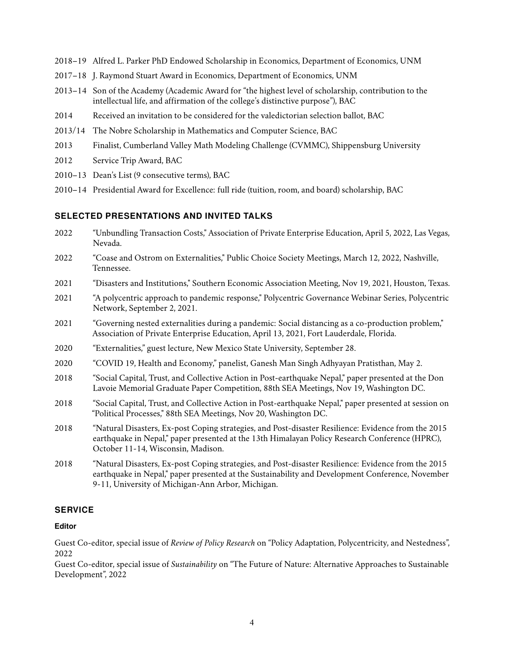- 2018–19 Alfred L. Parker PhD Endowed Scholarship in Economics, Department of Economics, UNM
- 2017–18 J. Raymond Stuart Award in Economics, Department of Economics, UNM
- 2013–14 Son of the Academy (Academic Award for "the highest level of scholarship, contribution to the intellectual life, and affirmation of the college's distinctive purpose"), BAC
- 2014 Received an invitation to be considered for the valedictorian selection ballot, BAC
- 2013/14 The Nobre Scholarship in Mathematics and Computer Science, BAC
- 2013 Finalist, Cumberland Valley Math Modeling Challenge (CVMMC), Shippensburg University
- 2012 Service Trip Award, BAC
- 2010–13 Dean's List (9 consecutive terms), BAC
- 2010–14 Presidential Award for Excellence: full ride (tuition, room, and board) scholarship, BAC

# **SELECTED PRESENTATIONS AND INVITED TALKS**

- 2022 "Unbundling Transaction Costs," Association of Private Enterprise Education, April 5, 2022, Las Vegas, Nevada.
- 2022 "Coase and Ostrom on Externalities," Public Choice Society Meetings, March 12, 2022, Nashville, Tennessee.
- 2021 "Disasters and Institutions," Southern Economic Association Meeting, Nov 19, 2021, Houston, Texas.
- 2021 "A polycentric approach to pandemic response," Polycentric Governance Webinar Series, Polycentric Network, September 2, 2021.
- 2021 "Governing nested externalities during a pandemic: Social distancing as a co-production problem," Association of Private Enterprise Education, April 13, 2021, Fort Lauderdale, Florida.
- 2020 "Externalities," guest lecture, New Mexico State University, September 28.
- 2020 "COVID 19, Health and Economy," panelist, Ganesh Man Singh Adhyayan Pratisthan, May 2.
- 2018 "Social Capital, Trust, and Collective Action in Post-earthquake Nepal," paper presented at the Don Lavoie Memorial Graduate Paper Competition, 88th SEA Meetings, Nov 19, Washington DC.
- 2018 "Social Capital, Trust, and Collective Action in Post-earthquake Nepal," paper presented at session on "Political Processes," 88th SEA Meetings, Nov 20, Washington DC.
- 2018 "Natural Disasters, Ex-post Coping strategies, and Post-disaster Resilience: Evidence from the 2015 earthquake in Nepal," paper presented at the 13th Himalayan Policy Research Conference (HPRC), October 11-14, Wisconsin, Madison.
- 2018 "Natural Disasters, Ex-post Coping strategies, and Post-disaster Resilience: Evidence from the 2015 earthquake in Nepal," paper presented at the Sustainability and Development Conference, November 9-11, University of Michigan-Ann Arbor, Michigan.

# **SERVICE**

#### **Editor**

Guest Co-editor, special issue of *Review of Policy Research* on "Policy Adaptation, Polycentricity, and Nestedness", 2022

Guest Co-editor, special issue of *Sustainability* on "The Future of Nature: Alternative Approaches to Sustainable Development", 2022